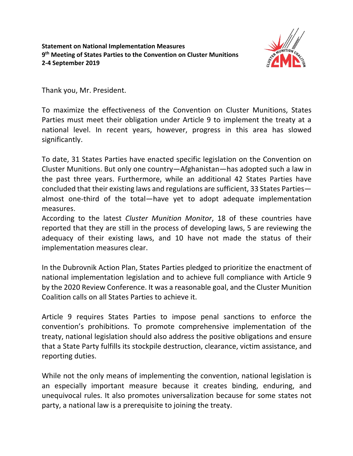

Thank you, Mr. President.

To maximize the effectiveness of the Convention on Cluster Munitions, States Parties must meet their obligation under Article 9 to implement the treaty at a national level. In recent years, however, progress in this area has slowed significantly.

To date, 31 States Parties have enacted specific legislation on the Convention on Cluster Munitions. But only one country—Afghanistan—has adopted such a law in the past three years. Furthermore, while an additional 42 States Parties have concluded that their existing laws and regulations are sufficient, 33 States Parties almost one-third of the total—have yet to adopt adequate implementation measures.

According to the latest *Cluster Munition Monitor*, 18 of these countries have reported that they are still in the process of developing laws, 5 are reviewing the adequacy of their existing laws, and 10 have not made the status of their implementation measures clear.

In the Dubrovnik Action Plan, States Parties pledged to prioritize the enactment of national implementation legislation and to achieve full compliance with Article 9 by the 2020 Review Conference. It was a reasonable goal, and the Cluster Munition Coalition calls on all States Parties to achieve it.

Article 9 requires States Parties to impose penal sanctions to enforce the convention's prohibitions. To promote comprehensive implementation of the treaty, national legislation should also address the positive obligations and ensure that a State Party fulfills its stockpile destruction, clearance, victim assistance, and reporting duties.

While not the only means of implementing the convention, national legislation is an especially important measure because it creates binding, enduring, and unequivocal rules. It also promotes universalization because for some states not party, a national law is a prerequisite to joining the treaty.